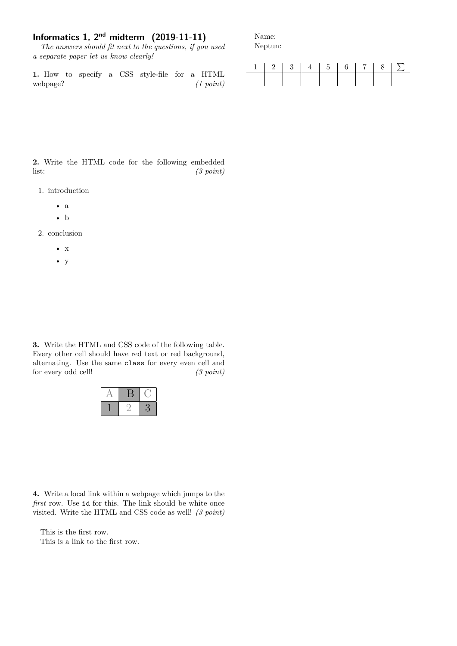## **Informatics 1, 2nd midterm (2019-11-11)**

*The answers should fit next to the questions, if you used a separate paper let us know clearly!*

**1.** How to specify a CSS style-file for a HTML webpage? *(1 point)*



**2.** Write the HTML code for the following embedded list: *(3 point)*

- 1. introduction
	- a
	- b
- 2. conclusion
	- $\bullet$  x
	- y

**3.** Write the HTML and CSS code of the following table. Every other cell should have red text or red background, alternating. Use the same class for every even cell and for every odd cell! *(3 point)*

**4.** Write a local link within a webpage which jumps to the *first* row. Use id for this. The link should be white once visited. Write the HTML and CSS code as well! *(3 point)*

This is the first row. This is a link to the first row.